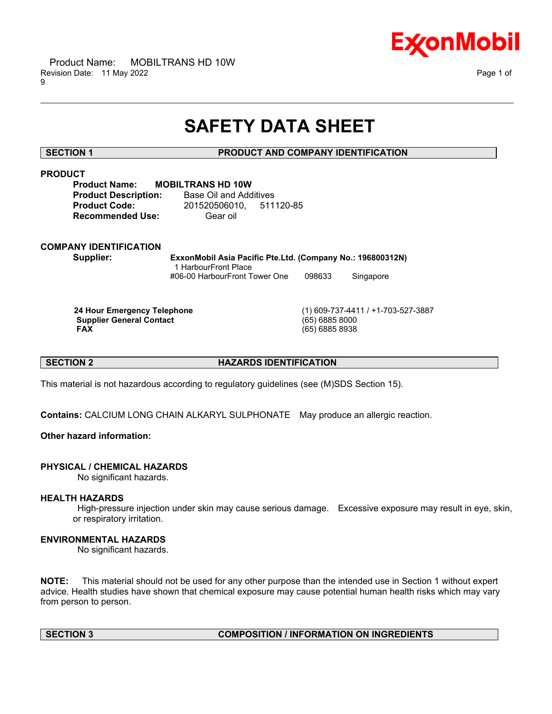

## **SAFETY DATA SHEET**

\_\_\_\_\_\_\_\_\_\_\_\_\_\_\_\_\_\_\_\_\_\_\_\_\_\_\_\_\_\_\_\_\_\_\_\_\_\_\_\_\_\_\_\_\_\_\_\_\_\_\_\_\_\_\_\_\_\_\_\_\_\_\_\_\_\_\_\_\_\_\_\_\_\_\_\_\_\_\_\_\_\_\_\_\_\_\_\_\_\_\_\_\_\_\_\_\_\_\_\_\_\_\_\_\_\_\_\_\_\_\_\_\_\_\_\_\_\_

#### **SECTION 1 PRODUCT AND COMPANY IDENTIFICATION**

| .                           |                          |           |
|-----------------------------|--------------------------|-----------|
| <b>Product Name:</b>        | <b>MOBILTRANS HD 10W</b> |           |
| <b>Product Description:</b> | Base Oil and Additives   |           |
| <b>Product Code:</b>        | 201520506010.            | 511120-85 |
| <b>Recommended Use:</b>     | Gear oil                 |           |

### **COMPANY IDENTIFICATION**

**Supplier: ExxonMobil Asia Pacific Pte.Ltd. (Company No.: 196800312N)** 1 HarbourFront Place #06-00 HarbourFront Tower One 098633 Singapore

**Supplier General Contact FAX** 

**24 Hour Emergency Telephone** (1) 609-737-4411 / +1-703-527-3887 **FAX** (65) 6885 8938

#### **SECTION 2 HAZARDS IDENTIFICATION**

This material is not hazardous according to regulatory guidelines (see (M)SDS Section 15).

**Contains:** CALCIUM LONG CHAIN ALKARYL SULPHONATE May produce an allergic reaction.

#### **Other hazard information:**

## **PHYSICAL / CHEMICAL HAZARDS**

No significant hazards.

#### **HEALTH HAZARDS**

High-pressure injection under skin may cause serious damage. Excessive exposure may result in eye, skin, or respiratory irritation.

#### **ENVIRONMENTAL HAZARDS**

No significant hazards.

**NOTE:** This material should not be used for any other purpose than the intended use in Section 1 without expert advice. Health studies have shown that chemical exposure may cause potential human health risks which may vary from person to person.

## **SECTION 3 COMPOSITION / INFORMATION ON INGREDIENTS**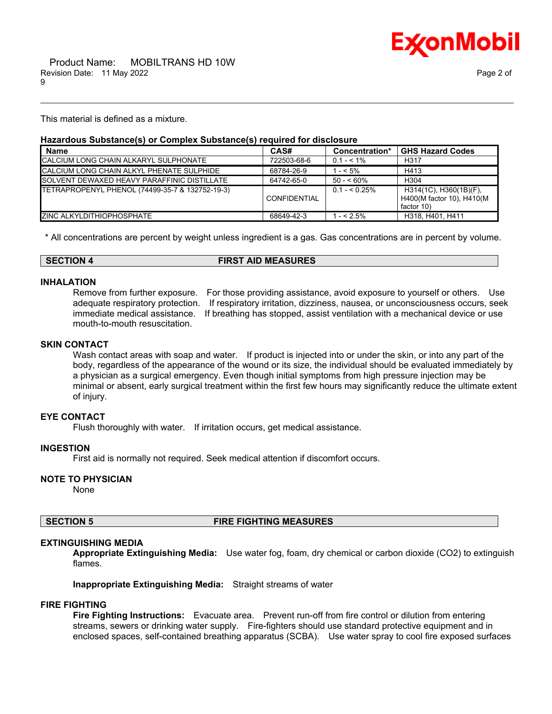

This material is defined as a mixture.

## **Hazardous Substance(s) or Complex Substance(s) required for disclosure**

| <b>Name</b>                                         | CAS#                | Concentration* | <b>GHS Hazard Codes</b>                                           |
|-----------------------------------------------------|---------------------|----------------|-------------------------------------------------------------------|
| CALCIUM LONG CHAIN ALKARYL SULPHONATE               | 722503-68-6         | $0.1 - 5.1\%$  | H <sub>317</sub>                                                  |
| <b>CALCIUM LONG CHAIN ALKYL PHENATE SULPHIDE</b>    | 68784-26-9          | $-5\%$         | H413                                                              |
| <b>ISOLVENT DEWAXED HEAVY PARAFFINIC DISTILLATE</b> | 64742-65-0          | $50 - 60\%$    | H <sub>304</sub>                                                  |
| TETRAPROPENYL PHENOL (74499-35-7 & 132752-19-3)     | <b>CONFIDENTIAL</b> | $0.1 - 5.25\%$ | H314(1C), H360(1B)(F),<br>H400(M factor 10), H410(M<br>factor 10) |
| <b>IZINC ALKYLDITHIOPHOSPHATE</b>                   | 68649-42-3          | $- < 2.5\%$    | H318, H401, H411                                                  |

\_\_\_\_\_\_\_\_\_\_\_\_\_\_\_\_\_\_\_\_\_\_\_\_\_\_\_\_\_\_\_\_\_\_\_\_\_\_\_\_\_\_\_\_\_\_\_\_\_\_\_\_\_\_\_\_\_\_\_\_\_\_\_\_\_\_\_\_\_\_\_\_\_\_\_\_\_\_\_\_\_\_\_\_\_\_\_\_\_\_\_\_\_\_\_\_\_\_\_\_\_\_\_\_\_\_\_\_\_\_\_\_\_\_\_\_\_\_

\* All concentrations are percent by weight unless ingredient is a gas. Gas concentrations are in percent by volume.

#### **SECTION 4 FIRST AID MEASURES**

#### **INHALATION**

Remove from further exposure. For those providing assistance, avoid exposure to yourself or others. Use adequate respiratory protection. If respiratory irritation, dizziness, nausea, or unconsciousness occurs, seek immediate medical assistance. If breathing has stopped, assist ventilation with a mechanical device or use mouth-to-mouth resuscitation.

#### **SKIN CONTACT**

Wash contact areas with soap and water. If product is injected into or under the skin, or into any part of the body, regardless of the appearance of the wound or its size, the individual should be evaluated immediately by a physician as a surgical emergency. Even though initial symptoms from high pressure injection may be minimal or absent, early surgical treatment within the first few hours may significantly reduce the ultimate extent of injury.

#### **EYE CONTACT**

Flush thoroughly with water. If irritation occurs, get medical assistance.

#### **INGESTION**

First aid is normally not required. Seek medical attention if discomfort occurs.

#### **NOTE TO PHYSICIAN**

None

#### **SECTION 5 FIRE FIGHTING MEASURES**

#### **EXTINGUISHING MEDIA**

**Appropriate Extinguishing Media:** Use water fog, foam, dry chemical or carbon dioxide (CO2) to extinguish flames.

**Inappropriate Extinguishing Media:** Straight streams of water

#### **FIRE FIGHTING**

**Fire Fighting Instructions:** Evacuate area. Prevent run-off from fire control or dilution from entering streams, sewers or drinking water supply. Fire-fighters should use standard protective equipment and in enclosed spaces, self-contained breathing apparatus (SCBA). Use water spray to cool fire exposed surfaces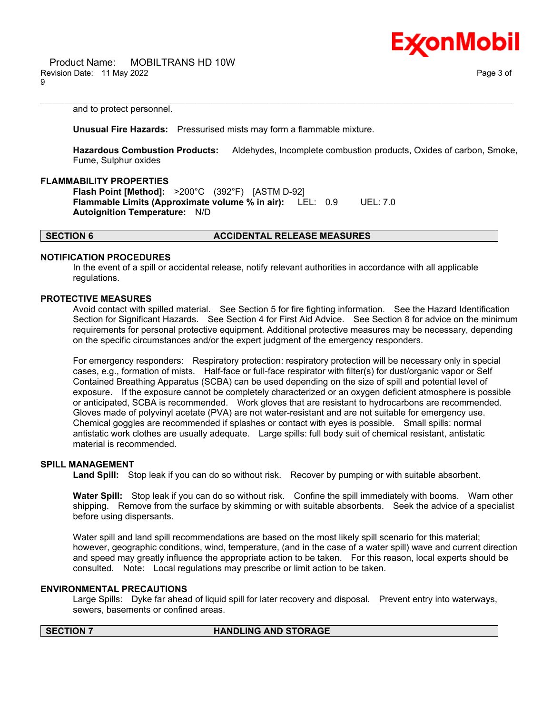

and to protect personnel.

**Unusual Fire Hazards:** Pressurised mists may form a flammable mixture.

**Hazardous Combustion Products:** Aldehydes, Incomplete combustion products, Oxides of carbon, Smoke, Fume, Sulphur oxides

\_\_\_\_\_\_\_\_\_\_\_\_\_\_\_\_\_\_\_\_\_\_\_\_\_\_\_\_\_\_\_\_\_\_\_\_\_\_\_\_\_\_\_\_\_\_\_\_\_\_\_\_\_\_\_\_\_\_\_\_\_\_\_\_\_\_\_\_\_\_\_\_\_\_\_\_\_\_\_\_\_\_\_\_\_\_\_\_\_\_\_\_\_\_\_\_\_\_\_\_\_\_\_\_\_\_\_\_\_\_\_\_\_\_\_\_\_\_

#### **FLAMMABILITY PROPERTIES**

**Flash Point [Method]:** >200°C (392°F) [ASTM D-92] **Flammable Limits (Approximate volume % in air):** LEL: 0.9 UEL: 7.0 **Autoignition Temperature:** N/D

#### **SECTION 6 ACCIDENTAL RELEASE MEASURES**

#### **NOTIFICATION PROCEDURES**

In the event of a spill or accidental release, notify relevant authorities in accordance with all applicable regulations.

#### **PROTECTIVE MEASURES**

Avoid contact with spilled material. See Section 5 for fire fighting information. See the Hazard Identification Section for Significant Hazards. See Section 4 for First Aid Advice. See Section 8 for advice on the minimum requirements for personal protective equipment. Additional protective measures may be necessary, depending on the specific circumstances and/or the expert judgment of the emergency responders.

For emergency responders: Respiratory protection: respiratory protection will be necessary only in special cases, e.g., formation of mists. Half-face or full-face respirator with filter(s) for dust/organic vapor or Self Contained Breathing Apparatus (SCBA) can be used depending on the size of spill and potential level of exposure. If the exposure cannot be completely characterized or an oxygen deficient atmosphere is possible or anticipated, SCBA is recommended. Work gloves that are resistant to hydrocarbons are recommended. Gloves made of polyvinyl acetate (PVA) are not water-resistant and are not suitable for emergency use. Chemical goggles are recommended if splashes or contact with eyes is possible. Small spills: normal antistatic work clothes are usually adequate. Large spills: full body suit of chemical resistant, antistatic material is recommended.

#### **SPILL MANAGEMENT**

**Land Spill:** Stop leak if you can do so without risk. Recover by pumping or with suitable absorbent.

**Water Spill:** Stop leak if you can do so without risk. Confine the spill immediately with booms. Warn other shipping. Remove from the surface by skimming or with suitable absorbents. Seek the advice of a specialist before using dispersants.

Water spill and land spill recommendations are based on the most likely spill scenario for this material; however, geographic conditions, wind, temperature, (and in the case of a water spill) wave and current direction and speed may greatly influence the appropriate action to be taken. For this reason, local experts should be consulted. Note: Local regulations may prescribe or limit action to be taken.

#### **ENVIRONMENTAL PRECAUTIONS**

Large Spills: Dyke far ahead of liquid spill for later recovery and disposal. Prevent entry into waterways, sewers, basements or confined areas.

### **SECTION 7 HANDLING AND STORAGE**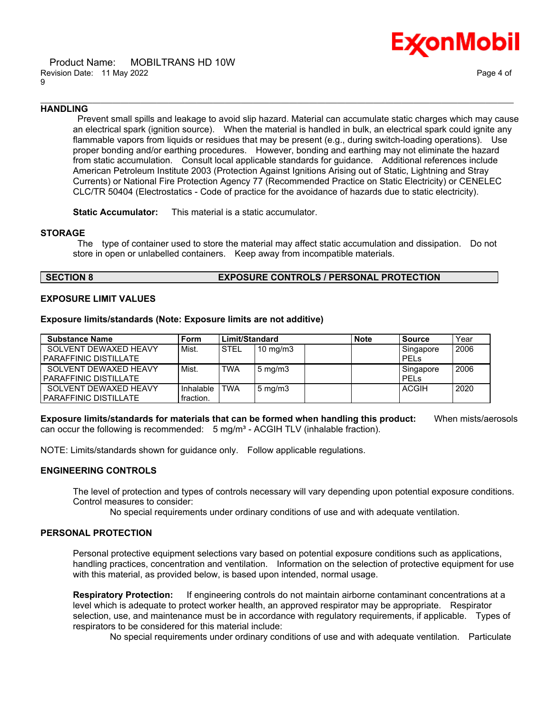

#### \_\_\_\_\_\_\_\_\_\_\_\_\_\_\_\_\_\_\_\_\_\_\_\_\_\_\_\_\_\_\_\_\_\_\_\_\_\_\_\_\_\_\_\_\_\_\_\_\_\_\_\_\_\_\_\_\_\_\_\_\_\_\_\_\_\_\_\_\_\_\_\_\_\_\_\_\_\_\_\_\_\_\_\_\_\_\_\_\_\_\_\_\_\_\_\_\_\_\_\_\_\_\_\_\_\_\_\_\_\_\_\_\_\_\_\_\_\_ **HANDLING**

Prevent small spills and leakage to avoid slip hazard. Material can accumulate static charges which may cause an electrical spark (ignition source). When the material is handled in bulk, an electrical spark could ignite any flammable vapors from liquids or residues that may be present (e.g., during switch-loading operations). Use proper bonding and/or earthing procedures. However, bonding and earthing may not eliminate the hazard from static accumulation. Consult local applicable standards for guidance. Additional references include American Petroleum Institute 2003 (Protection Against Ignitions Arising out of Static, Lightning and Stray Currents) or National Fire Protection Agency 77 (Recommended Practice on Static Electricity) or CENELEC CLC/TR 50404 (Electrostatics - Code of practice for the avoidance of hazards due to static electricity).

**Static Accumulator:** This material is a static accumulator.

#### **STORAGE**

The type of container used to store the material may affect static accumulation and dissipation. Do not store in open or unlabelled containers. Keep away from incompatible materials.

## **SECTION 8 EXPOSURE CONTROLS / PERSONAL PROTECTION**

#### **EXPOSURE LIMIT VALUES**

#### **Exposure limits/standards (Note: Exposure limits are not additive)**

| <b>Substance Name</b>                                 | . Form                 | Limit/Standard |                    | <b>Note</b> | <b>Source</b>     | Year |
|-------------------------------------------------------|------------------------|----------------|--------------------|-------------|-------------------|------|
| SOLVENT DEWAXED HEAVY<br><b>PARAFFINIC DISTILLATE</b> | Mist.                  | <b>STEL</b>    | $10 \text{ mg/m}$  |             | Singapore<br>PELS | 2006 |
| SOLVENT DEWAXED HEAVY<br><b>PARAFFINIC DISTILLATE</b> | Mist.                  | <b>TWA</b>     | $5 \text{ mg/m}$ 3 |             | Singapore<br>PELS | 2006 |
| SOLVENT DEWAXED HEAVY<br><b>PARAFFINIC DISTILLATE</b> | Inhalable<br>fraction. | <b>TWA</b>     | l 5 mg/m3          |             | ACGIH             | 2020 |

**Exposure limits/standards for materials that can be formed when handling this product:** When mists/aerosols can occur the following is recommended:  $5 \text{ mg/m}^3$  - ACGIH TLV (inhalable fraction).

NOTE: Limits/standards shown for guidance only. Follow applicable regulations.

#### **ENGINEERING CONTROLS**

The level of protection and types of controls necessary will vary depending upon potential exposure conditions. Control measures to consider:

No special requirements under ordinary conditions of use and with adequate ventilation.

#### **PERSONAL PROTECTION**

Personal protective equipment selections vary based on potential exposure conditions such as applications, handling practices, concentration and ventilation. Information on the selection of protective equipment for use with this material, as provided below, is based upon intended, normal usage.

**Respiratory Protection:** If engineering controls do not maintain airborne contaminant concentrations at a level which is adequate to protect worker health, an approved respirator may be appropriate. Respirator selection, use, and maintenance must be in accordance with regulatory requirements, if applicable. Types of respirators to be considered for this material include:

No special requirements under ordinary conditions of use and with adequate ventilation. Particulate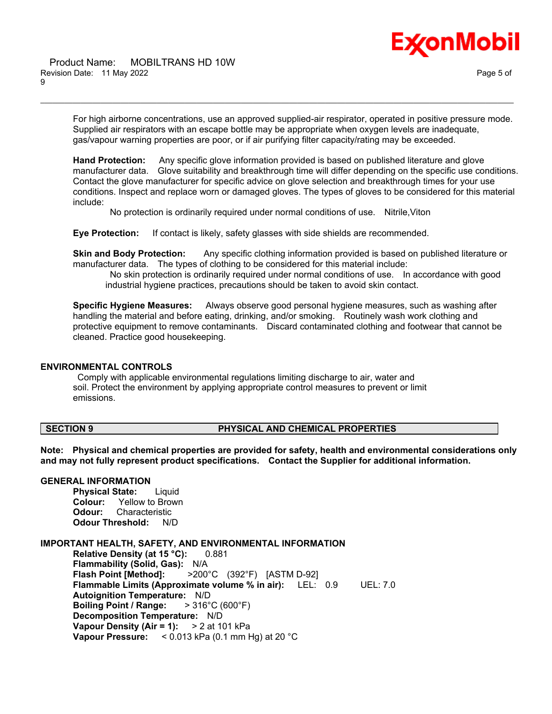

For high airborne concentrations, use an approved supplied-air respirator, operated in positive pressure mode. Supplied air respirators with an escape bottle may be appropriate when oxygen levels are inadequate, gas/vapour warning properties are poor, or if air purifying filter capacity/rating may be exceeded.

\_\_\_\_\_\_\_\_\_\_\_\_\_\_\_\_\_\_\_\_\_\_\_\_\_\_\_\_\_\_\_\_\_\_\_\_\_\_\_\_\_\_\_\_\_\_\_\_\_\_\_\_\_\_\_\_\_\_\_\_\_\_\_\_\_\_\_\_\_\_\_\_\_\_\_\_\_\_\_\_\_\_\_\_\_\_\_\_\_\_\_\_\_\_\_\_\_\_\_\_\_\_\_\_\_\_\_\_\_\_\_\_\_\_\_\_\_\_

**Hand Protection:** Any specific glove information provided is based on published literature and glove manufacturer data. Glove suitability and breakthrough time will differ depending on the specific use conditions. Contact the glove manufacturer for specific advice on glove selection and breakthrough times for your use conditions. Inspect and replace worn or damaged gloves. The types of gloves to be considered for this material include:

No protection is ordinarily required under normal conditions of use. Nitrile,Viton

**Eye Protection:** If contact is likely, safety glasses with side shields are recommended.

**Skin and Body Protection:** Any specific clothing information provided is based on published literature or manufacturer data. The types of clothing to be considered for this material include:

No skin protection is ordinarily required under normal conditions of use. In accordance with good industrial hygiene practices, precautions should be taken to avoid skin contact.

**Specific Hygiene Measures:** Always observe good personal hygiene measures, such as washing after handling the material and before eating, drinking, and/or smoking. Routinely wash work clothing and protective equipment to remove contaminants. Discard contaminated clothing and footwear that cannot be cleaned. Practice good housekeeping.

#### **ENVIRONMENTAL CONTROLS**

Comply with applicable environmental regulations limiting discharge to air, water and soil. Protect the environment by applying appropriate control measures to prevent or limit emissions.

### **SECTION 9 PHYSICAL AND CHEMICAL PROPERTIES**

**Note: Physical and chemical properties are provided for safety, health and environmental considerations only and may not fully represent product specifications. Contact the Supplier for additional information.**

#### **GENERAL INFORMATION**

**Physical State:** Liquid **Colour:** Yellow to Brown **Odour:** Characteristic **Odour Threshold:** N/D

#### **IMPORTANT HEALTH, SAFETY, AND ENVIRONMENTAL INFORMATION**

**Relative Density (at 15 °C):** 0.881 **Flammability (Solid, Gas):** N/A **Flash Point [Method]:** >200°C (392°F) [ASTM D-92] **Flammable Limits (Approximate volume % in air):** LEL: 0.9 UEL: 7.0 **Autoignition Temperature:** N/D **Boiling Point / Range:** > 316°C (600°F) **Decomposition Temperature:** N/D **Vapour Density (Air = 1):** > 2 at 101 kPa **Vapour Pressure:** < 0.013 kPa (0.1 mm Hg) at 20 °C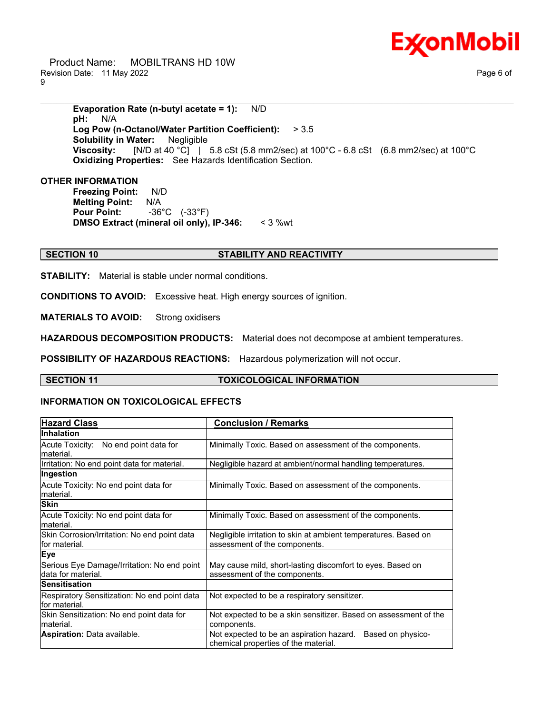

 Product Name: MOBILTRANS HD 10W Revision Date: 11 May 2022 Page 6 of 9

**Evaporation Rate (n-butyl acetate = 1):** N/D **pH:** N/A **Log Pow (n-Octanol/Water Partition Coefficient):** > 3.5 **Solubility in Water:** Negligible **Viscosity:** [N/D at 40 °C] | 5.8 cSt (5.8 mm2/sec) at 100°C - 6.8 cSt (6.8 mm2/sec) at 100°C **Oxidizing Properties:** See Hazards Identification Section.

\_\_\_\_\_\_\_\_\_\_\_\_\_\_\_\_\_\_\_\_\_\_\_\_\_\_\_\_\_\_\_\_\_\_\_\_\_\_\_\_\_\_\_\_\_\_\_\_\_\_\_\_\_\_\_\_\_\_\_\_\_\_\_\_\_\_\_\_\_\_\_\_\_\_\_\_\_\_\_\_\_\_\_\_\_\_\_\_\_\_\_\_\_\_\_\_\_\_\_\_\_\_\_\_\_\_\_\_\_\_\_\_\_\_\_\_\_\_

#### **OTHER INFORMATION**

**Freezing Point:** N/D **Melting Point:** N/A **Pour Point:** -36°C (-33°F) **DMSO Extract (mineral oil only), IP-346:** < 3 %wt

#### **SECTION 10 STABILITY AND REACTIVITY**

**STABILITY:** Material is stable under normal conditions.

**CONDITIONS TO AVOID:** Excessive heat. High energy sources of ignition.

**MATERIALS TO AVOID:** Strong oxidisers

**HAZARDOUS DECOMPOSITION PRODUCTS:** Material does not decompose at ambient temperatures.

**POSSIBILITY OF HAZARDOUS REACTIONS:** Hazardous polymerization will not occur.

#### **SECTION 11 TOXICOLOGICAL INFORMATION**

#### **INFORMATION ON TOXICOLOGICAL EFFECTS**

| <b>Hazard Class</b>                                               | <b>Conclusion / Remarks</b>                                                                           |  |  |
|-------------------------------------------------------------------|-------------------------------------------------------------------------------------------------------|--|--|
| <b>Inhalation</b>                                                 |                                                                                                       |  |  |
| Acute Toxicity: No end point data for<br>lmaterial.               | Minimally Toxic. Based on assessment of the components.                                               |  |  |
| Irritation: No end point data for material.                       | Negligible hazard at ambient/normal handling temperatures.                                            |  |  |
| Ingestion                                                         |                                                                                                       |  |  |
| Acute Toxicity: No end point data for<br>lmaterial.               | Minimally Toxic. Based on assessment of the components.                                               |  |  |
| <b>Skin</b>                                                       |                                                                                                       |  |  |
| Acute Toxicity: No end point data for<br>lmaterial.               | Minimally Toxic. Based on assessment of the components.                                               |  |  |
| Skin Corrosion/Irritation: No end point data<br>lfor material.    | Negligible irritation to skin at ambient temperatures. Based on<br>assessment of the components.      |  |  |
| <b>Eye</b>                                                        |                                                                                                       |  |  |
| Serious Eye Damage/Irritation: No end point<br>data for material. | May cause mild, short-lasting discomfort to eyes. Based on<br>assessment of the components.           |  |  |
| <b>Sensitisation</b>                                              |                                                                                                       |  |  |
| Respiratory Sensitization: No end point data<br>for material.     | Not expected to be a respiratory sensitizer.                                                          |  |  |
| Skin Sensitization: No end point data for<br>lmaterial.           | Not expected to be a skin sensitizer. Based on assessment of the<br>components.                       |  |  |
| <b>Aspiration: Data available.</b>                                | Based on physico-<br>Not expected to be an aspiration hazard.<br>chemical properties of the material. |  |  |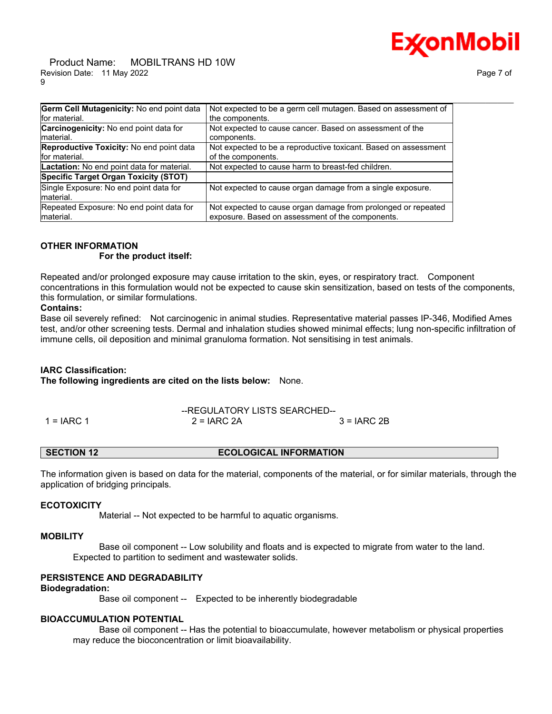# Ex⁄onMobil

 Product Name: MOBILTRANS HD 10W Revision Date: 11 May 2022 9

| ıae |  | п |
|-----|--|---|
|-----|--|---|

| Germ Cell Mutagenicity: No end point data     | Not expected to be a germ cell mutagen. Based on assessment of  |
|-----------------------------------------------|-----------------------------------------------------------------|
| for material.                                 | the components.                                                 |
| <b>Carcinogenicity:</b> No end point data for | Not expected to cause cancer. Based on assessment of the        |
| Imaterial.                                    | components.                                                     |
| Reproductive Toxicity: No end point data      | Not expected to be a reproductive toxicant. Based on assessment |
| for material.                                 | of the components.                                              |
| Lactation: No end point data for material.    | Not expected to cause harm to breast-fed children.              |
| Specific Target Organ Toxicity (STOT)         |                                                                 |
| Single Exposure: No end point data for        | Not expected to cause organ damage from a single exposure.      |
| material.                                     |                                                                 |
| Repeated Exposure: No end point data for      | Not expected to cause organ damage from prolonged or repeated   |
| material.                                     | exposure. Based on assessment of the components.                |

### **OTHER INFORMATION**

#### **For the product itself:**

Repeated and/or prolonged exposure may cause irritation to the skin, eyes, or respiratory tract. Component concentrations in this formulation would not be expected to cause skin sensitization, based on tests of the components, this formulation, or similar formulations.

#### **Contains:**

Base oil severely refined: Not carcinogenic in animal studies. Representative material passes IP-346, Modified Ames test, and/or other screening tests. Dermal and inhalation studies showed minimal effects; lung non-specific infiltration of immune cells, oil deposition and minimal granuloma formation. Not sensitising in test animals.

#### **IARC Classification:**

**The following ingredients are cited on the lists below:** None.

## --REGULATORY LISTS SEARCHED--  $1 = IARC 1$  2 = IARC 2A  $3 = IARC 2B$

#### **SECTION 12 ECOLOGICAL INFORMATION**

The information given is based on data for the material, components of the material, or for similar materials, through the application of bridging principals.

#### **ECOTOXICITY**

Material -- Not expected to be harmful to aquatic organisms.

#### **MOBILITY**

 Base oil component -- Low solubility and floats and is expected to migrate from water to the land. Expected to partition to sediment and wastewater solids.

## **PERSISTENCE AND DEGRADABILITY**

#### **Biodegradation:**

Base oil component -- Expected to be inherently biodegradable

## **BIOACCUMULATION POTENTIAL**

 Base oil component -- Has the potential to bioaccumulate, however metabolism or physical properties may reduce the bioconcentration or limit bioavailability.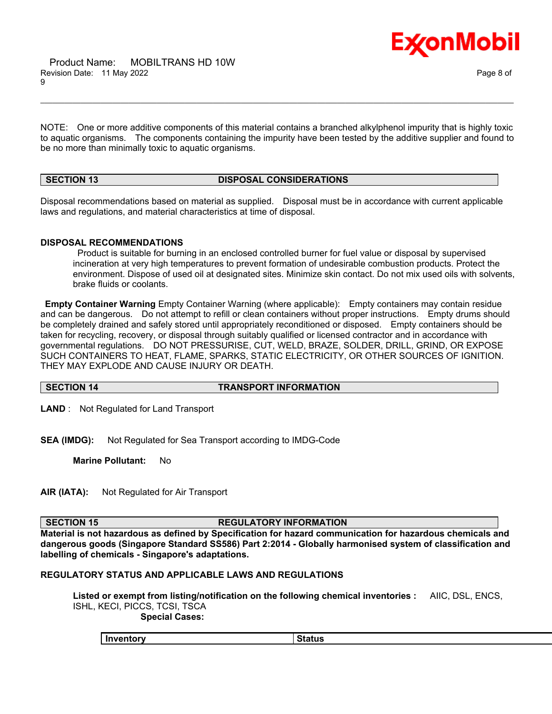

NOTE: One or more additive components of this material contains a branched alkylphenol impurity that is highly toxic to aquatic organisms. The components containing the impurity have been tested by the additive supplier and found to be no more than minimally toxic to aquatic organisms.

\_\_\_\_\_\_\_\_\_\_\_\_\_\_\_\_\_\_\_\_\_\_\_\_\_\_\_\_\_\_\_\_\_\_\_\_\_\_\_\_\_\_\_\_\_\_\_\_\_\_\_\_\_\_\_\_\_\_\_\_\_\_\_\_\_\_\_\_\_\_\_\_\_\_\_\_\_\_\_\_\_\_\_\_\_\_\_\_\_\_\_\_\_\_\_\_\_\_\_\_\_\_\_\_\_\_\_\_\_\_\_\_\_\_\_\_\_\_

**SECTION 13 DISPOSAL CONSIDERATIONS**

Disposal recommendations based on material as supplied. Disposal must be in accordance with current applicable laws and regulations, and material characteristics at time of disposal.

#### **DISPOSAL RECOMMENDATIONS**

Product is suitable for burning in an enclosed controlled burner for fuel value or disposal by supervised incineration at very high temperatures to prevent formation of undesirable combustion products. Protect the environment. Dispose of used oil at designated sites. Minimize skin contact. Do not mix used oils with solvents, brake fluids or coolants.

**Empty Container Warning** Empty Container Warning (where applicable): Empty containers may contain residue and can be dangerous. Do not attempt to refill or clean containers without proper instructions. Empty drums should be completely drained and safely stored until appropriately reconditioned or disposed. Empty containers should be taken for recycling, recovery, or disposal through suitably qualified or licensed contractor and in accordance with governmental regulations. DO NOT PRESSURISE, CUT, WELD, BRAZE, SOLDER, DRILL, GRIND, OR EXPOSE SUCH CONTAINERS TO HEAT, FLAME, SPARKS, STATIC ELECTRICITY, OR OTHER SOURCES OF IGNITION. THEY MAY EXPLODE AND CAUSE INJURY OR DEATH.

#### **SECTION 14 TRANSPORT INFORMATION**

**LAND** : Not Regulated for Land Transport

**SEA (IMDG):** Not Regulated for Sea Transport according to IMDG-Code

**Marine Pollutant:** No

**AIR (IATA):** Not Regulated for Air Transport

#### **SECTION 15 REGULATORY INFORMATION**

**Material is not hazardous as defined by Specification for hazard communication for hazardous chemicals and dangerous goods (Singapore Standard SS586) Part 2:2014 - Globally harmonised system of classification and labelling of chemicals - Singapore's adaptations.**

## **REGULATORY STATUS AND APPLICABLE LAWS AND REGULATIONS**

**Listed or exempt from listing/notification on the following chemical inventories :** AIIC, DSL, ENCS, ISHL, KECI, PICCS, TCSI, TSCA

 **Special Cases:**

| Inventory<br>Status |  |
|---------------------|--|
|---------------------|--|